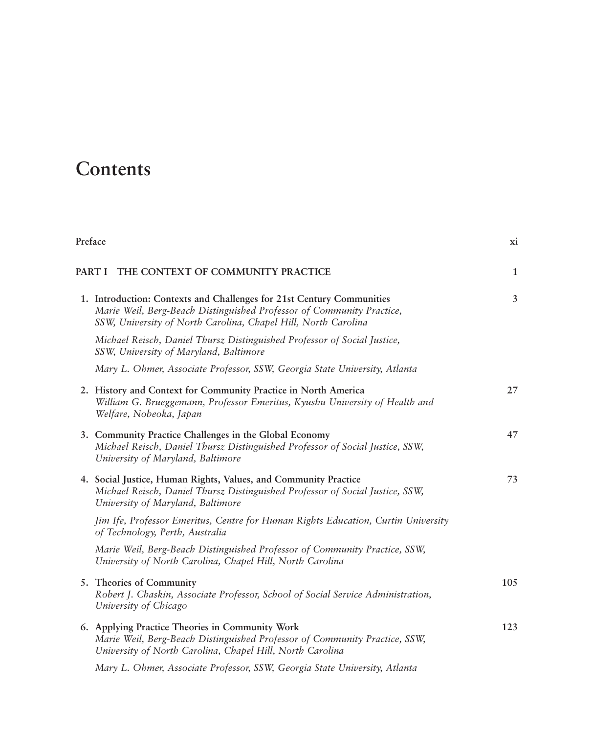## **Contents**

| Preface |                                                                                                                                                                                                                  | XI.            |
|---------|------------------------------------------------------------------------------------------------------------------------------------------------------------------------------------------------------------------|----------------|
|         | THE CONTEXT OF COMMUNITY PRACTICE<br>PART I                                                                                                                                                                      | $\mathbf{1}$   |
|         | 1. Introduction: Contexts and Challenges for 21st Century Communities<br>Marie Weil, Berg-Beach Distinguished Professor of Community Practice,<br>SSW, University of North Carolina, Chapel Hill, North Carolina | $\overline{3}$ |
|         | Michael Reisch, Daniel Thursz Distinguished Professor of Social Justice,<br>SSW, University of Maryland, Baltimore                                                                                               |                |
|         | Mary L. Ohmer, Associate Professor, SSW, Georgia State University, Atlanta                                                                                                                                       |                |
|         | 2. History and Context for Community Practice in North America<br>William G. Brueggemann, Professor Emeritus, Kyushu University of Health and<br>Welfare, Nobeoka, Japan                                         | 27             |
|         | 3. Community Practice Challenges in the Global Economy<br>Michael Reisch, Daniel Thursz Distinguished Professor of Social Justice, SSW,<br>University of Maryland, Baltimore                                     | 47             |
|         | 4. Social Justice, Human Rights, Values, and Community Practice<br>Michael Reisch, Daniel Thursz Distinguished Professor of Social Justice, SSW,<br>University of Maryland, Baltimore                            | 73             |
|         | Jim Ife, Professor Emeritus, Centre for Human Rights Education, Curtin University<br>of Technology, Perth, Australia                                                                                             |                |
|         | Marie Weil, Berg-Beach Distinguished Professor of Community Practice, SSW,<br>University of North Carolina, Chapel Hill, North Carolina                                                                          |                |
|         | 5. Theories of Community<br>Robert J. Chaskin, Associate Professor, School of Social Service Administration,<br>University of Chicago                                                                            | 105            |
|         | 6. Applying Practice Theories in Community Work<br>Marie Weil, Berg-Beach Distinguished Professor of Community Practice, SSW,<br>University of North Carolina, Chapel Hill, North Carolina                       | 123            |
|         | $\mathbf{r}$ of $\mathbf{r}$ is $\mathbf{r}$ countered.                                                                                                                                                          |                |

*Mary L. Ohmer, Associate Professor, SSW, Georgia State University, Atlanta*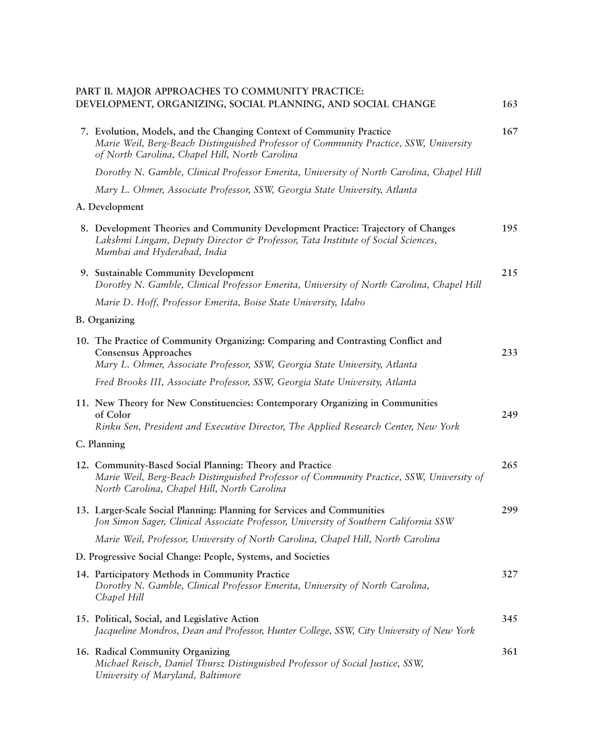## **PART II. MAJOR APPROACHES TO COMMUNITY PRACTICE: DEVELOPMENT, ORGANIZING, SOCIAL PLANNING, AND SOCIAL CHANGE 163**

| 7. Evolution, Models, and the Changing Context of Community Practice<br>Marie Weil, Berg-Beach Distinguished Professor of Community Practice, SSW, University<br>of North Carolina, Chapel Hill, North Carolina | 167 |
|-----------------------------------------------------------------------------------------------------------------------------------------------------------------------------------------------------------------|-----|
| Dorothy N. Gamble, Clinical Professor Emerita, University of North Carolina, Chapel Hill                                                                                                                        |     |
| Mary L. Ohmer, Associate Professor, SSW, Georgia State University, Atlanta                                                                                                                                      |     |
| A. Development                                                                                                                                                                                                  |     |
| 8. Development Theories and Community Development Practice: Trajectory of Changes<br>Lakshmi Lingam, Deputy Director & Professor, Tata Institute of Social Sciences,<br>Mumbai and Hyderabad, India             | 195 |
| 9. Sustainable Community Development<br>Dorothy N. Gamble, Clinical Professor Emerita, University of North Carolina, Chapel Hill                                                                                | 215 |
| Marie D. Hoff, Professor Emerita, Boise State University, Idaho                                                                                                                                                 |     |
| <b>B.</b> Organizing                                                                                                                                                                                            |     |
| 10. The Practice of Community Organizing: Comparing and Contrasting Conflict and<br><b>Consensus Approaches</b><br>Mary L. Ohmer, Associate Professor, SSW, Georgia State University, Atlanta                   | 233 |
| Fred Brooks III, Associate Professor, SSW, Georgia State University, Atlanta                                                                                                                                    |     |
| 11. New Theory for New Constituencies: Contemporary Organizing in Communities<br>of Color                                                                                                                       | 249 |
| Rinku Sen, President and Executive Director, The Applied Research Center, New York                                                                                                                              |     |
| C. Planning                                                                                                                                                                                                     |     |
| 12. Community-Based Social Planning: Theory and Practice<br>Marie Weil, Berg-Beach Distinguished Professor of Community Practice, SSW, University of<br>North Carolina, Chapel Hill, North Carolina             | 265 |
| 13. Larger-Scale Social Planning: Planning for Services and Communities<br>Jon Simon Sager, Clinical Associate Professor, University of Southern California SSW                                                 | 299 |
| Marie Weil, Professor, University of North Carolina, Chapel Hill, North Carolina                                                                                                                                |     |
| D. Progressive Social Change: People, Systems, and Societies                                                                                                                                                    |     |
| 14. Participatory Methods in Community Practice<br>Dorothy N. Gamble, Clinical Professor Emerita, University of North Carolina,<br>Chapel Hill                                                                  | 327 |
| 15. Political, Social, and Legislative Action<br>Jacqueline Mondros, Dean and Professor, Hunter College, SSW, City University of New York                                                                       | 345 |
| 16. Radical Community Organizing<br>Michael Reisch, Daniel Thursz Distinguished Professor of Social Justice, SSW,<br>University of Maryland, Baltimore                                                          | 361 |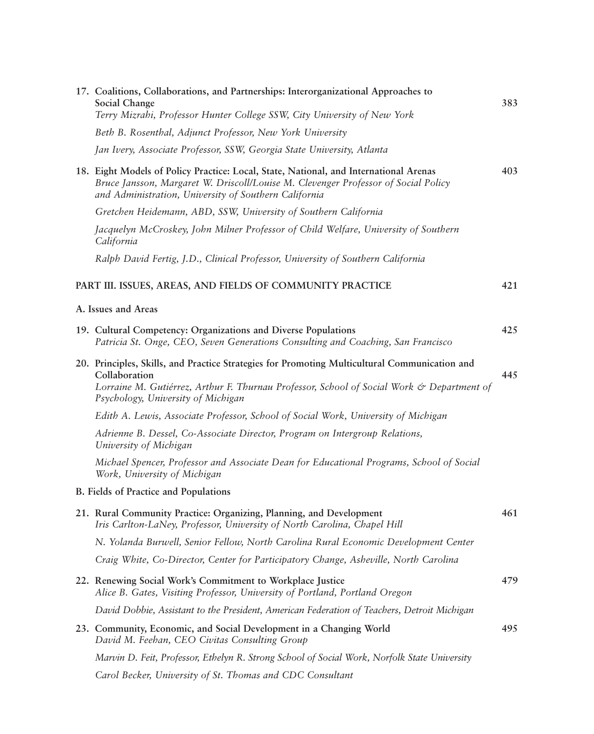|  | 17. Coalitions, Collaborations, and Partnerships: Interorganizational Approaches to<br>Social Change<br>Terry Mizrahi, Professor Hunter College SSW, City University of New York                                                                  | 383 |
|--|---------------------------------------------------------------------------------------------------------------------------------------------------------------------------------------------------------------------------------------------------|-----|
|  | Beth B. Rosenthal, Adjunct Professor, New York University                                                                                                                                                                                         |     |
|  | Jan Ivery, Associate Professor, SSW, Georgia State University, Atlanta                                                                                                                                                                            |     |
|  | 18. Eight Models of Policy Practice: Local, State, National, and International Arenas<br>Bruce Jansson, Margaret W. Driscoll/Louise M. Clevenger Professor of Social Policy<br>and Administration, University of Southern California              | 403 |
|  | Gretchen Heidemann, ABD, SSW, University of Southern California                                                                                                                                                                                   |     |
|  | Jacquelyn McCroskey, John Milner Professor of Child Welfare, University of Southern<br>California                                                                                                                                                 |     |
|  | Ralph David Fertig, J.D., Clinical Professor, University of Southern California                                                                                                                                                                   |     |
|  | PART III. ISSUES, AREAS, AND FIELDS OF COMMUNITY PRACTICE                                                                                                                                                                                         | 421 |
|  | A. Issues and Areas                                                                                                                                                                                                                               |     |
|  | 19. Cultural Competency: Organizations and Diverse Populations<br>Patricia St. Onge, CEO, Seven Generations Consulting and Coaching, San Francisco                                                                                                | 425 |
|  | 20. Principles, Skills, and Practice Strategies for Promoting Multicultural Communication and<br>Collaboration<br>Lorraine M. Gutiérrez, Arthur F. Thurnau Professor, School of Social Work & Department of<br>Psychology, University of Michigan | 445 |
|  | Edith A. Lewis, Associate Professor, School of Social Work, University of Michigan                                                                                                                                                                |     |
|  | Adrienne B. Dessel, Co-Associate Director, Program on Intergroup Relations,<br>University of Michigan                                                                                                                                             |     |
|  | Michael Spencer, Professor and Associate Dean for Educational Programs, School of Social<br>Work, University of Michigan                                                                                                                          |     |
|  | B. Fields of Practice and Populations                                                                                                                                                                                                             |     |
|  | 21. Rural Community Practice: Organizing, Planning, and Development<br>Iris Carlton-LaNey, Professor, University of North Carolina, Chapel Hill                                                                                                   | 461 |
|  | N. Yolanda Burwell, Senior Fellow, North Carolina Rural Economic Development Center                                                                                                                                                               |     |
|  | Craig White, Co-Director, Center for Participatory Change, Asheville, North Carolina                                                                                                                                                              |     |
|  | 22. Renewing Social Work's Commitment to Workplace Justice<br>Alice B. Gates, Visiting Professor, University of Portland, Portland Oregon                                                                                                         | 479 |
|  | David Dobbie, Assistant to the President, American Federation of Teachers, Detroit Michigan                                                                                                                                                       |     |
|  | 23. Community, Economic, and Social Development in a Changing World<br>David M. Feehan, CEO Civitas Consulting Group                                                                                                                              | 495 |
|  | Marvin D. Feit, Professor, Ethelyn R. Strong School of Social Work, Norfolk State University                                                                                                                                                      |     |
|  | Carol Becker, University of St. Thomas and CDC Consultant                                                                                                                                                                                         |     |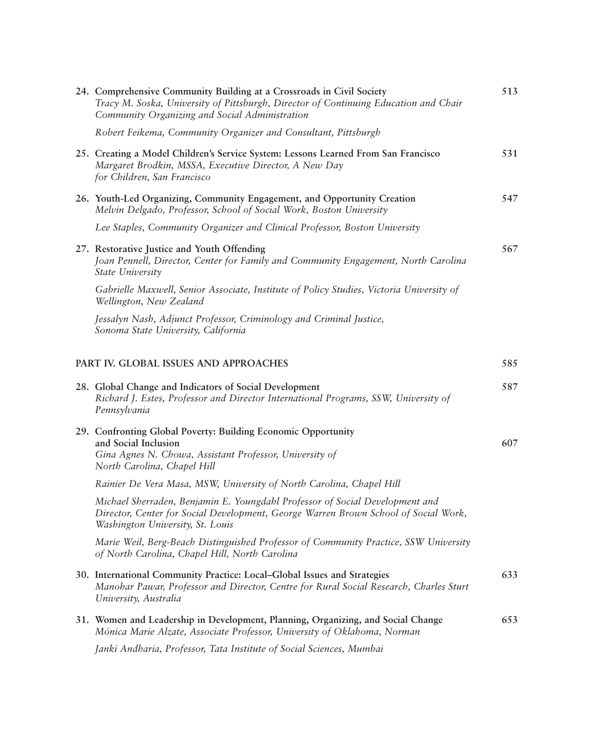| 24. Comprehensive Community Building at a Crossroads in Civil Society<br>Tracy M. Soska, University of Pittsburgh, Director of Continuing Education and Chair<br>Community Organizing and Social Administration | 513 |
|-----------------------------------------------------------------------------------------------------------------------------------------------------------------------------------------------------------------|-----|
| Robert Feikema, Community Organizer and Consultant, Pittsburgh                                                                                                                                                  |     |
| 25. Creating a Model Children's Service System: Lessons Learned From San Francisco<br>Margaret Brodkin, MSSA, Executive Director, A New Day<br>for Children, San Francisco                                      | 531 |
| 26. Youth-Led Organizing, Community Engagement, and Opportunity Creation<br>Melvin Delgado, Professor, School of Social Work, Boston University                                                                 | 547 |
| Lee Staples, Community Organizer and Clinical Professor, Boston University                                                                                                                                      |     |
| 27. Restorative Justice and Youth Offending<br>Joan Pennell, Director, Center for Family and Community Engagement, North Carolina<br>State University                                                           | 567 |
| Gabrielle Maxwell, Senior Associate, Institute of Policy Studies, Victoria University of<br>Wellington, New Zealand                                                                                             |     |
| Jessalyn Nash, Adjunct Professor, Criminology and Criminal Justice,<br>Sonoma State University, California                                                                                                      |     |
| PART IV. GLOBAL ISSUES AND APPROACHES                                                                                                                                                                           | 585 |
| 28. Global Change and Indicators of Social Development<br>Richard J. Estes, Professor and Director International Programs, SSW, University of<br>Pennsylvania                                                   | 587 |
| 29. Confronting Global Poverty: Building Economic Opportunity                                                                                                                                                   |     |
| and Social Inclusion<br>Gina Agnes N. Chowa, Assistant Professor, University of<br>North Carolina, Chapel Hill                                                                                                  | 607 |
| Rainier De Vera Masa, MSW, University of North Carolina, Chapel Hill                                                                                                                                            |     |
| Michael Sherraden, Benjamin E. Youngdahl Professor of Social Development and<br>Director, Center for Social Development, George Warren Brown School of Social Work,<br>Washington University, St. Louis         |     |
| Marie Weil, Berg-Beach Distinguished Professor of Community Practice, SSW University<br>of North Carolina, Chapel Hill, North Carolina                                                                          |     |
| 30. International Community Practice: Local-Global Issues and Strategies<br>Manohar Pawar, Professor and Director, Centre for Rural Social Research, Charles Sturt<br>University, Australia                     | 633 |
| 31. Women and Leadership in Development, Planning, Organizing, and Social Change<br>Mónica Marie Alzate, Associate Professor, University of Oklahoma, Norman                                                    | 653 |
| Janki Andharia, Professor, Tata Institute of Social Sciences, Mumbai                                                                                                                                            |     |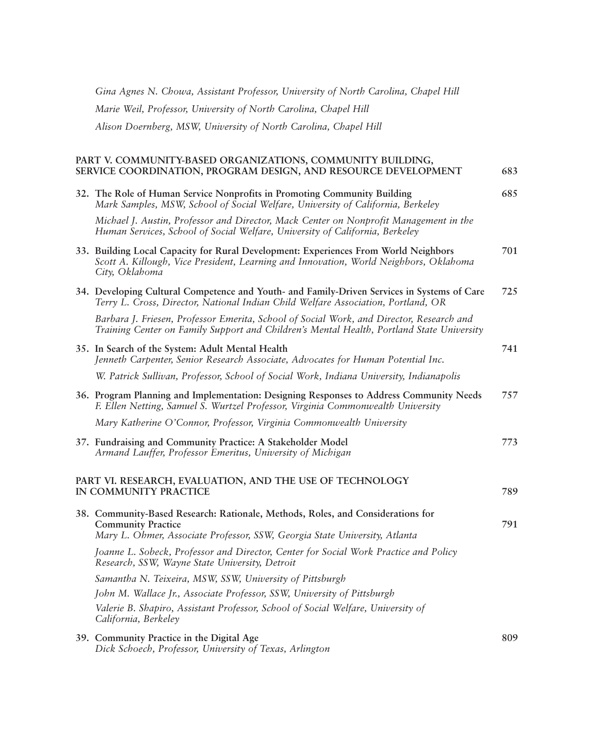| Gina Agnes N. Chowa, Assistant Professor, University of North Carolina, Chapel Hill                                                                                                            |     |
|------------------------------------------------------------------------------------------------------------------------------------------------------------------------------------------------|-----|
| Marie Weil, Professor, University of North Carolina, Chapel Hill                                                                                                                               |     |
| Alison Doernberg, MSW, University of North Carolina, Chapel Hill                                                                                                                               |     |
| PART V. COMMUNITY-BASED ORGANIZATIONS, COMMUNITY BUILDING,<br>SERVICE COORDINATION, PROGRAM DESIGN, AND RESOURCE DEVELOPMENT                                                                   | 683 |
| 32. The Role of Human Service Nonprofits in Promoting Community Building<br>Mark Samples, MSW, School of Social Welfare, University of California, Berkeley                                    | 685 |
| Michael J. Austin, Professor and Director, Mack Center on Nonprofit Management in the<br>Human Services, School of Social Welfare, University of California, Berkeley                          |     |
| 33. Building Local Capacity for Rural Development: Experiences From World Neighbors<br>Scott A. Killough, Vice President, Learning and Innovation, World Neighbors, Oklahoma<br>City, Oklahoma | 701 |
| 34. Developing Cultural Competence and Youth- and Family-Driven Services in Systems of Care<br>Terry L. Cross, Director, National Indian Child Welfare Association, Portland, OR               | 725 |
| Barbara J. Friesen, Professor Emerita, School of Social Work, and Director, Research and<br>Training Center on Family Support and Children's Mental Health, Portland State University          |     |
| 35. In Search of the System: Adult Mental Health<br>Jenneth Carpenter, Senior Research Associate, Advocates for Human Potential Inc.                                                           | 741 |
| W. Patrick Sullivan, Professor, School of Social Work, Indiana University, Indianapolis                                                                                                        |     |
| 36. Program Planning and Implementation: Designing Responses to Address Community Needs<br>F. Ellen Netting, Samuel S. Wurtzel Professor, Virginia Commonwealth University                     | 757 |
| Mary Katherine O'Connor, Professor, Virginia Commonwealth University                                                                                                                           |     |
| 37. Fundraising and Community Practice: A Stakeholder Model<br>Armand Lauffer, Professor Emeritus, University of Michigan                                                                      | 773 |
| PART VI. RESEARCH, EVALUATION, AND THE USE OF TECHNOLOGY<br>IN COMMUNITY PRACTICE                                                                                                              | 789 |
| 38. Community-Based Research: Rationale, Methods, Roles, and Considerations for<br><b>Community Practice</b><br>Mary L. Ohmer, Associate Professor, SSW, Georgia State University, Atlanta     | 791 |
| Joanne L. Sobeck, Professor and Director, Center for Social Work Practice and Policy<br>Research, SSW, Wayne State University, Detroit                                                         |     |
| Samantha N. Teixeira, MSW, SSW, University of Pittsburgh                                                                                                                                       |     |
| John M. Wallace Jr., Associate Professor, SSW, University of Pittsburgh                                                                                                                        |     |
| Valerie B. Shapiro, Assistant Professor, School of Social Welfare, University of<br>California, Berkeley                                                                                       |     |
| 39. Community Practice in the Digital Age                                                                                                                                                      | 809 |

*Dick Schoech, Professor, University of Texas, Arlington*